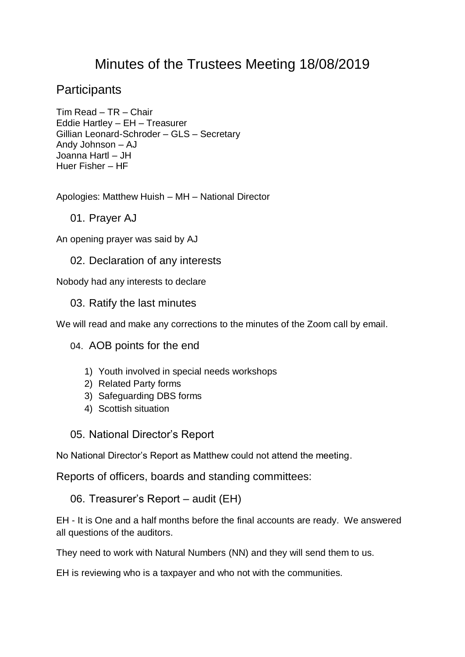# Minutes of the Trustees Meeting 18/08/2019

# **Participants**

Tim Read – TR – Chair Eddie Hartley – EH – Treasurer Gillian Leonard-Schroder – GLS – Secretary Andy Johnson – AJ Joanna Hartl – JH Huer Fisher – HF

Apologies: Matthew Huish – MH – National Director

01. Prayer AJ

An opening prayer was said by AJ

#### 02. Declaration of any interests

Nobody had any interests to declare

#### 03. Ratify the last minutes

We will read and make any corrections to the minutes of the Zoom call by email.

04. AOB points for the end

- 1) Youth involved in special needs workshops
- 2) Related Party forms
- 3) Safeguarding DBS forms
- 4) Scottish situation

05. National Director's Report

No National Director's Report as Matthew could not attend the meeting.

Reports of officers, boards and standing committees:

06. Treasurer's Report – audit (EH)

EH - It is One and a half months before the final accounts are ready. We answered all questions of the auditors.

They need to work with Natural Numbers (NN) and they will send them to us.

EH is reviewing who is a taxpayer and who not with the communities.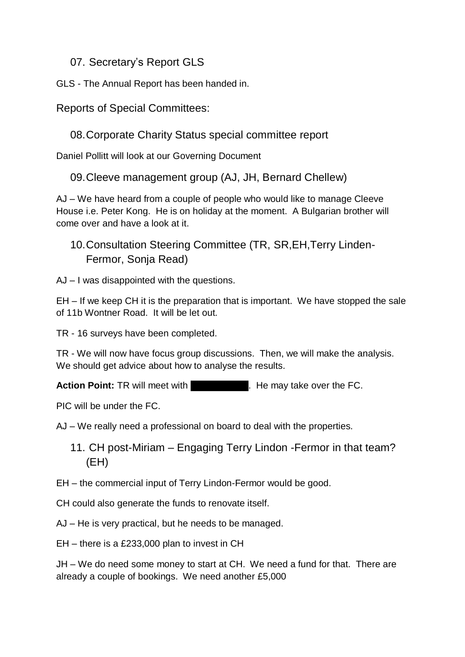## 07. Secretary's Report GLS

GLS - The Annual Report has been handed in.

Reports of Special Committees:

08.Corporate Charity Status special committee report

Daniel Pollitt will look at our Governing Document

09.Cleeve management group (AJ, JH, Bernard Chellew)

AJ – We have heard from a couple of people who would like to manage Cleeve House i.e. Peter Kong. He is on holiday at the moment. A Bulgarian brother will come over and have a look at it.

10.Consultation Steering Committee (TR, SR,EH,Terry Linden-Fermor, Sonja Read)

AJ – I was disappointed with the questions.

EH – If we keep CH it is the preparation that is important. We have stopped the sale of 11b Wontner Road. It will be let out.

TR - 16 surveys have been completed.

TR - We will now have focus group discussions. Then, we will make the analysis. We should get advice about how to analyse the results.

**Action Point:** TR will meet with Ron Chandler. He may take over the FC.

PIC will be under the FC.

AJ – We really need a professional on board to deal with the properties.

11. CH post-Miriam – Engaging Terry Lindon -Fermor in that team? (EH)

EH – the commercial input of Terry Lindon-Fermor would be good.

CH could also generate the funds to renovate itself.

AJ – He is very practical, but he needs to be managed.

EH – there is a £233,000 plan to invest in CH

JH – We do need some money to start at CH. We need a fund for that. There are already a couple of bookings. We need another £5,000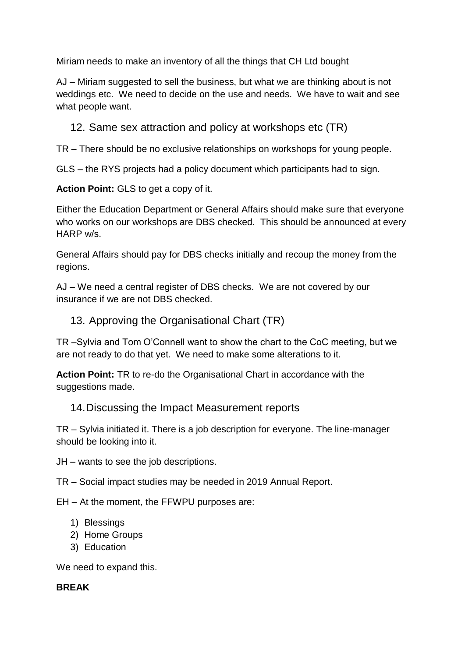Miriam needs to make an inventory of all the things that CH Ltd bought

AJ – Miriam suggested to sell the business, but what we are thinking about is not weddings etc. We need to decide on the use and needs. We have to wait and see what people want.

12. Same sex attraction and policy at workshops etc (TR)

TR – There should be no exclusive relationships on workshops for young people.

GLS – the RYS projects had a policy document which participants had to sign.

**Action Point:** GLS to get a copy of it.

Either the Education Department or General Affairs should make sure that everyone who works on our workshops are DBS checked. This should be announced at every HARP w/s.

General Affairs should pay for DBS checks initially and recoup the money from the regions.

AJ – We need a central register of DBS checks. We are not covered by our insurance if we are not DBS checked.

## 13. Approving the Organisational Chart (TR)

TR –Sylvia and Tom O'Connell want to show the chart to the CoC meeting, but we are not ready to do that yet. We need to make some alterations to it.

**Action Point:** TR to re-do the Organisational Chart in accordance with the suggestions made.

#### 14.Discussing the Impact Measurement reports

TR – Sylvia initiated it. There is a job description for everyone. The line-manager should be looking into it.

JH – wants to see the job descriptions.

TR – Social impact studies may be needed in 2019 Annual Report.

EH – At the moment, the FFWPU purposes are:

- 1) Blessings
- 2) Home Groups
- 3) Education

We need to expand this.

#### **BREAK**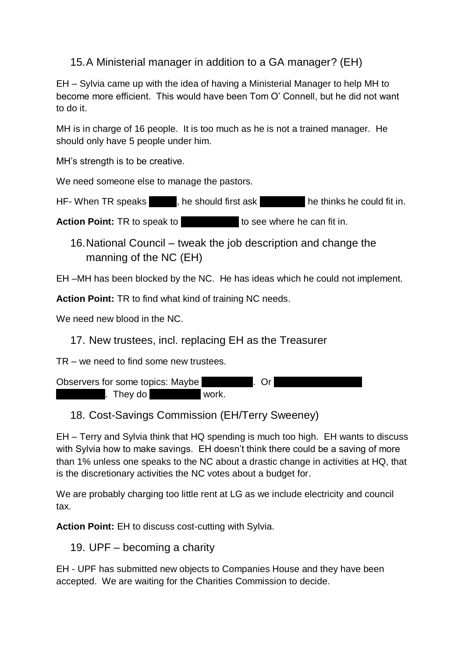## 15.A Ministerial manager in addition to a GA manager? (EH)

EH – Sylvia came up with the idea of having a Ministerial Manager to help MH to become more efficient. This would have been Tom O' Connell, but he did not want to do it.

MH is in charge of 16 people. It is too much as he is not a trained manager. He should only have 5 people under him.

MH's strength is to be creative.

We need someone else to manage the pastors.

HF- When TR speaks the should first ask the thinks he could fit in.

**Action Point:** TR to speak to **Ron Chandler State of the Chandler State State State in.** 

16.National Council – tweak the job description and change the manning of the NC (EH)

EH –MH has been blocked by the NC. He has ideas which he could not implement.

**Action Point:** TR to find what kind of training NC needs.

We need new blood in the NC.

17. New trustees, incl. replacing EH as the Treasurer

TR – we need to find some new trustees.

Observers for some topics: Maybe Sonya Read. Or Stephanie and January Read. Or Stephanie and January Read. Or S biddlecomb. They do Young Adult work.

## 18. Cost-Savings Commission (EH/Terry Sweeney)

EH – Terry and Sylvia think that HQ spending is much too high. EH wants to discuss with Sylvia how to make savings. EH doesn't think there could be a saving of more than 1% unless one speaks to the NC about a drastic change in activities at HQ, that is the discretionary activities the NC votes about a budget for.

We are probably charging too little rent at LG as we include electricity and council tax.

**Action Point:** EH to discuss cost-cutting with Sylvia.

19. UPF – becoming a charity

EH - UPF has submitted new objects to Companies House and they have been accepted. We are waiting for the Charities Commission to decide.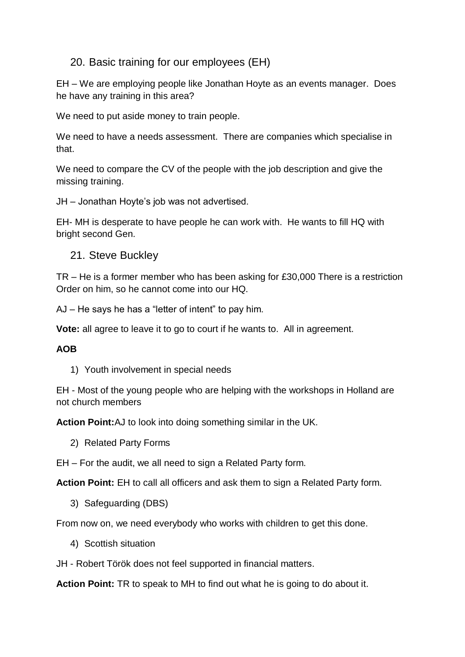#### 20. Basic training for our employees (EH)

EH – We are employing people like Jonathan Hoyte as an events manager. Does he have any training in this area?

We need to put aside money to train people.

We need to have a needs assessment. There are companies which specialise in that.

We need to compare the CV of the people with the job description and give the missing training.

JH – Jonathan Hoyte's job was not advertised.

EH- MH is desperate to have people he can work with. He wants to fill HQ with bright second Gen.

21. Steve Buckley

TR – He is a former member who has been asking for £30,000 There is a restriction Order on him, so he cannot come into our HQ.

AJ – He says he has a "letter of intent" to pay him.

**Vote:** all agree to leave it to go to court if he wants to. All in agreement.

#### **AOB**

1) Youth involvement in special needs

EH - Most of the young people who are helping with the workshops in Holland are not church members

**Action Point:**AJ to look into doing something similar in the UK.

2) Related Party Forms

EH – For the audit, we all need to sign a Related Party form.

**Action Point:** EH to call all officers and ask them to sign a Related Party form.

3) Safeguarding (DBS)

From now on, we need everybody who works with children to get this done.

4) Scottish situation

JH - Robert Török does not feel supported in financial matters.

**Action Point:** TR to speak to MH to find out what he is going to do about it.